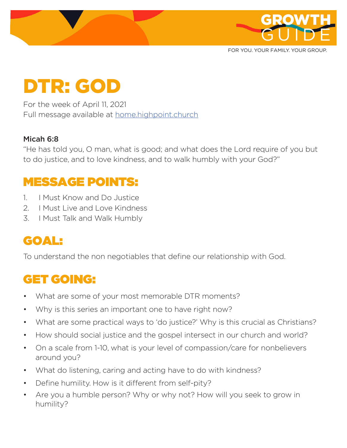

FOR YOU. YOUR FAMILY. YOUR GROUP.

# DTR: GOD

For the week of April 11, 2021 Full message available at home.highpoint.church

#### Micah 6:8

"He has told you, O man, what is good; and what does the Lord require of you but to do justice, and to love kindness, and to walk humbly with your God?"

### MESSAGE POINTS:

- 1. I Must Know and Do Justice
- 2. I Must Live and Love Kindness
- 3. I Must Talk and Walk Humbly

# GOAL:

To understand the non negotiables that define our relationship with God.

# GET GOING:

- What are some of your most memorable DTR moments?
- Why is this series an important one to have right now?
- What are some practical ways to 'do justice?' Why is this crucial as Christians?
- How should social justice and the gospel intersect in our church and world?
- On a scale from 1-10, what is your level of compassion/care for nonbelievers around you?
- What do listening, caring and acting have to do with kindness?
- Define humility. How is it different from self-pity?
- Are you a humble person? Why or why not? How will you seek to grow in humility?